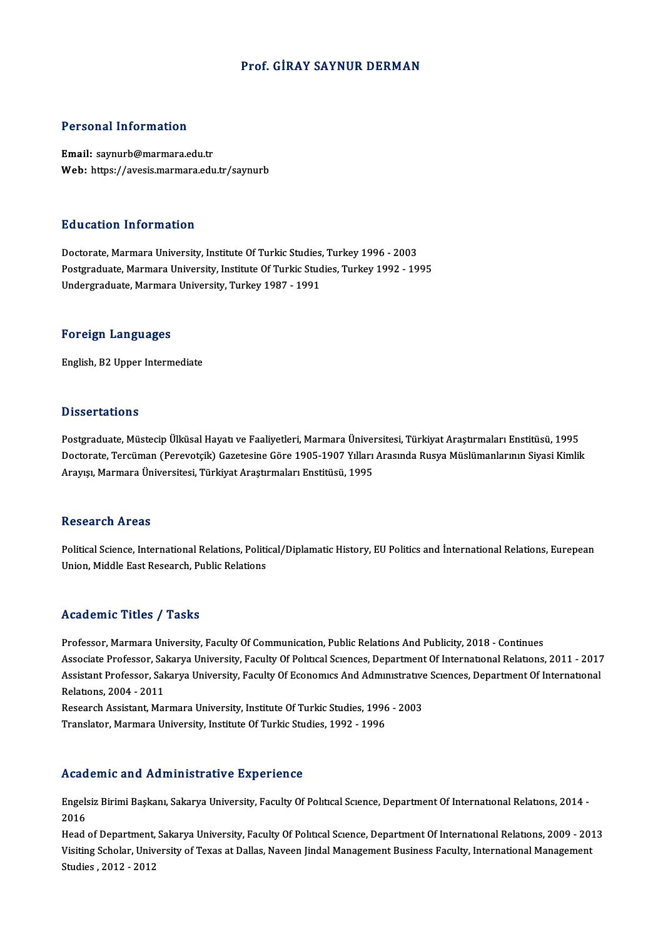#### Prof. GİRAY SAYNUR DERMAN

#### Personal Information

Email: saynurb@marmara.edu.tr Web: https://avesis.marmara.edu.tr/saynurb

#### Education Information

Education Information<br>Doctorate, Marmara University, Institute Of Turkic Studies, Turkey 1996 - 2003<br>Postaraduate Marmara University, Institute Of Turkis Studies, Turkey 1992 - 19 Putroacion Tirrot Interon<br>Doctorate, Marmara University, Institute Of Turkic Studies, Turkey 1996 - 2003<br>Postgraduate, Marmara University, Institute Of Turkic Studies, Turkey 1992 - 1995<br>Undergraduate, Marmara University, Postgraduate, Marmara University, Institute Of Turkic Studies, Turkey 1992 - 1995<br>Undergraduate, Marmara University, Turkey 1987 - 1991

#### Foreign Languages

English,B2Upper Intermediate

#### **Dissertations**

Postgraduate, Müstecip Ülküsal Hayatı ve Faaliyetleri, Marmara Üniversitesi, Türkiyat Araştırmaları Enstitüsü, 1995 D'issesi catrenis<br>Postgraduate, Müstecip Ülküsal Hayatı ve Faaliyetleri, Marmara Üniversitesi, Türkiyat Araştırmaları Enstitüsü, 1995<br>Doctorate, Tercüman (Perevotçik) Gazetesine Göre 1905-1907 Yılları Arasında Rusya Müslüm Postgraduate, Müstecip Ülküsal Hayatı ve Faaliyetleri, Marmara Üniveı<br>Doctorate, Tercüman (Perevotçik) Gazetesine Göre 1905-1907 Yılları<br>Arayışı, Marmara Üniversitesi, Türkiyat Araştırmaları Enstitüsü, 1995 Arayışı, Marmara Üniversitesi, Türkiyat Araştırmaları Enstitüsü, 1995<br>Research Areas

Research Areas<br>Political Science, International Relations, Political/Diplamatic History, EU Politics and İnternational Relations, Eurepean<br>Union Middle Fest Pesearsh, Public Polations 1000011 on 111 000<br>Political Science, International Relations, Politi<br>Union, Middle East Research, Public Relations Union, Middle East Research, Public Relations<br>Academic Titles / Tasks

Professor, Marmara University, Faculty Of Communication, Public Relations And Publicity, 2018 - Continues Associate Article 7, Andre<br>Professor, Marmara University, Faculty Of Communication, Public Relations And Publicity, 2018 - Continues<br>Associate Professor, Sakarya University, Faculty Of Feenamus: And Admunistrative Sciences Professor, Marmara University, Faculty Of Communication, Public Relations And Publicity, 2018 - Continues<br>Associate Professor, Sakarya University, Faculty Of Political Sciences, Department Of International Relations, 2011 Associate Professor, Sal<br>Assistant Professor, Sal<br>Relations, 2004 - 2011<br>Besearsh Assistant Mal Assistant Professor, Sakarya University, Faculty Of Economics And Administrative Sciences, Department Of International<br>Relations, 2004 - 2011<br>Research Assistant, Marmara University, Institute Of Turkic Studies, 1996 - 2003

Translator, Marmara University, Institute Of Turkic Studies, 1992 - 1996

#### Academic and Administrative Experience

Academic and Administrative Experience<br>Engelsiz Birimi Başkanı, Sakarya University, Faculty Of Polıtıcal Scıence, Department Of Internatıonal Relatıons, 2014 -<br>2016 rread<br>Engels<br>2016<br>Head Engelsiz Birimi Başkanı, Sakarya University, Faculty Of Political Science, Department Of International Relations, 2014 -<br>2016<br>Head of Department, Sakarya University, Faculty Of Political Science, Department Of Internationa

2016<br>Head of Department, Sakarya University, Faculty Of Political Science, Department Of International Relations, 2009 - 201<br>Visiting Scholar, University of Texas at Dallas, Naveen Jindal Management Business Faculty, Inter Head of Department,<br>Visiting Scholar, Univ<br>Studies , 2012 - 2012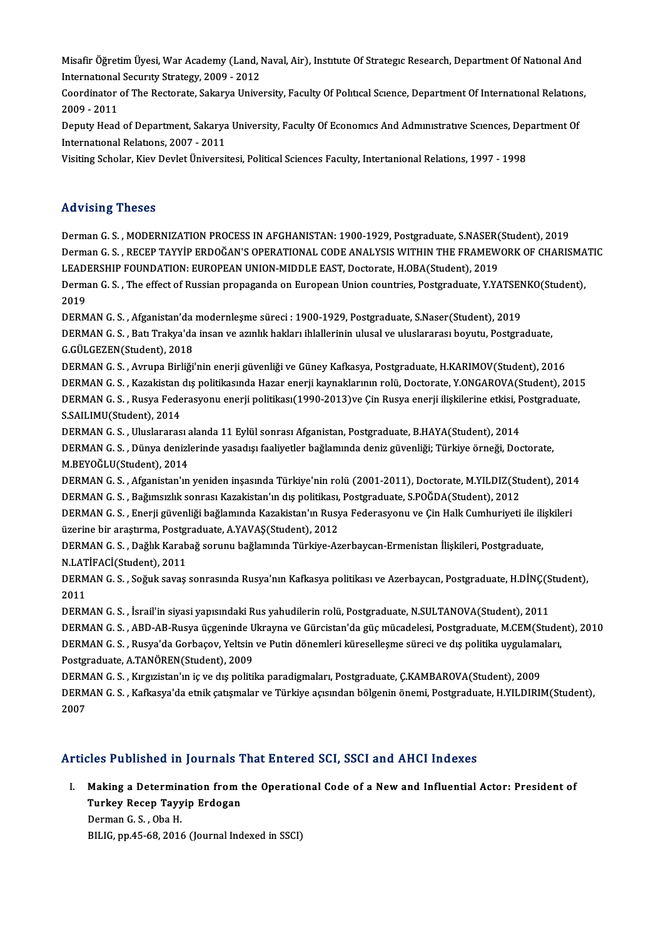Misafir Öğretim Üyesi, War Academy (Land, Naval, Air), Instıtute Of Strategıc Research, Department Of Natıonal And<br>International Sequruty Strategy, 2000, 2012 Misafir Öğretim Üyesi, War Academy (Land, I<br>Internatıonal Security Strategy, 2009 - 2012<br>Ceardinatar of The Bestarate Sekawe Unive Misafir Öğretim Üyesi, War Academy (Land, Naval, Air), Institute Of Strategic Research, Department Of National And<br>International Security Strategy, 2009 - 2012<br>Coordinator of The Rectorate, Sakarya University, Faculty Of P

International Security Strategy, 2009 - 2012<br>Coordinator of The Rectorate, Sakarya University, Faculty Of Political Science, Department Of International Relations,<br>2009 - 2011 Coordinator of The Rectorate, Sakarya University, Faculty Of Political Science, Department Of International Relations<br>2009 - 2011<br>Deputy Head of Department, Sakarya University, Faculty Of Economics And Administrative Scien

2009 - 2011<br>Deputy Head of Department, Sakarya<br>International Relations, 2007 - 2011<br>Visiting Scholar, Kiay Devlet Üniversi Deputy Head of Department, Sakarya University, Faculty Of Economics And Administrative Sciences, Dep<br>International Relations, 2007 - 2011<br>Visiting Scholar, Kiev Devlet Üniversitesi, Political Sciences Faculty, Intertaniona

Visiting Scholar, Kiev Devlet Üniversitesi, Political Sciences Faculty, Intertanional Relations, 1997 - 1998<br>Advising Theses

Advising Theses<br>Derman G.S. , MODERNIZATION PROCESS IN AFGHANISTAN: 1900-1929, Postgraduate, S.NASER(Student), 2019<br>Derman G.S. , RECER TAYVIR ERDOČAN'S ORERATIONAL CODE ANALYSIS WITHIN THE ERAMEWORK OF CHARIS TRAVISTING TIRSSES<br>Derman G. S. , MODERNIZATION PROCESS IN AFGHANISTAN: 1900-1929, Postgraduate, S.NASER(Student), 2019<br>Derman G. S. , RECEP TAYYİP ERDOĞAN'S OPERATIONAL CODE ANALYSIS WITHIN THE FRAMEWORK OF CHARISMATIC<br>LE Derman G. S. , MODERNIZATION PROCESS IN AFGHANISTAN: 1900-1929, Postgraduate, S.NASER(<br>Derman G. S. , RECEP TAYYIP ERDOĞAN'S OPERATIONAL CODE ANALYSIS WITHIN THE FRAMEW<br>LEADERSHIP FOUNDATION: EUROPEAN UNION-MIDDLE EAST, Do Derman G. S. , RECEP TAYYİP ERDOĞAN'S OPERATIONAL CODE ANALYSIS WITHIN THE FRAMEWORK OF CHARISMA<br>LEADERSHIP FOUNDATION: EUROPEAN UNION-MIDDLE EAST, Doctorate, H.OBA(Student), 2019<br>Derman G. S. , The effect of Russian propa LEADERSHIP FOUNDATION: EUROPEAN UNION-MIDDLE EAST, Doctorate, H.OBA(Student), 2019<br>Derman G. S. , The effect of Russian propaganda on European Union countries, Postgraduate, Y.YATSEI<br>2019<br>DERMAN G. S. , Afganistan'da moder Derman G.S., The effect of Russian propaganda on European Union countries, Postgraduate, Y.YATSENKO(Student), 2019<br>DERMAN G. S. , Afganistan'da modernleşme süreci : 1900-1929, Postgraduate, S.Naser(Student), 2019<br>DERMAN G. S. , Batı Trakya'da insan ve azınlık hakları ihlallerinin ulusal ve uluslararası boyutu, Postgraduate,<br>G.CÜLG DERMAN G. S. , Afganistan'da<br>DERMAN G. S. , Batı Trakya'da<br>G.GÜLGEZEN(Student), 2018<br>DERMAN G. S. , Aymung Birliği DERMAN G. S. , Batı Trakya'da insan ve azınlık hakları ihlallerinin ulusal ve uluslararası boyutu, Postgraduate,<br>G.GÜLGEZEN(Student), 2018<br>DERMAN G. S. , Avrupa Birliği'nin enerji güvenliği ve Güney Kafkasya, Postgraduate, G.GÜLGEZEN(Student), 2018<br>DERMAN G. S. , Avrupa Birliği'nin enerji güvenliği ve Güney Kafkasya, Postgraduate, H.KARIMOV(Student), 2016<br>DERMAN G. S. , Kazakistan dış politikasında Hazar enerji kaynaklarının rolü, Doctorate, DERMAN G. S. , Avrupa Birliği'nin enerji güvenliği ve Güney Kafkasya, Postgraduate, H.KARIMOV(Student), 2016<br>DERMAN G. S. , Kazakistan dış politikasında Hazar enerji kaynaklarının rolü, Doctorate, Y.ONGAROVA(Student), 201<br> **DERMAN G. S. , Kazakistan<br>DERMAN G. S. , Rusya Fede<br>S.SAILIMU(Student), 2014<br>DERMAN G. S. , Uluslararas** DERMAN G. S. , Rusya Federasyonu enerji politikası(1990-2013)ve Çin Rusya enerji ilişkilerine etkisi, Postgraduate,<br>S.SAILIMU(Student), 2014 DERMAN G. S. , Dünya denizlerinde yasadışı faaliyetler bağlamında deniz güvenliği; Türkiye örneği, Doctorate,<br>M.BEYOĞLU(Student), 2014 DERMAN G. S., Uluslararası alanda 11 Eylül sonrası Afganistan, Postgraduate, B.HAYA(Student), 2014 DERMAN G. S. , Dünya denizlerinde yasadışı faaliyetler bağlamında deniz güvenliği; Türkiye örneği, Doctorate,<br>M.BEYOĞLU(Student), 2014<br>DERMAN G. S. , Afganistan'ın yeniden inşasında Türkiye'nin rolü (2001-2011), Doctorate, M.BEYOĞLU(Student), 2014<br>DERMAN G. S. , Afganistan'ın yeniden inşasında Türkiye'nin rolü (2001-2011), Doctorate, M.YILDIZ(Stı<br>DERMAN G. S. , Bağımsızlık sonrası Kazakistan'ın dış politikası, Postgraduate, S.POĞDA(Student), DERMAN G. S. , Afganistan'ın yeniden inşasında Türkiye'nin rolü (2001-2011), Doctorate, M.YILDIZ(Student), 201<br>DERMAN G. S. , Bağımsızlık sonrası Kazakistan'ın dış politikası, Postgraduate, S.POĞDA(Student), 2012<br>DERMAN G. DERMAN G. S. , Bağımsızlık sonrası Kazakistan'ın dış politikası,<br>DERMAN G. S. , Enerji güvenliği bağlamında Kazakistan'ın Rusy<br>üzerine bir araştırma, Postgraduate, A.YAVAŞ(Student), 2012<br>DERMAN G. S., Dağlık Karabağ sonunu DERMAN G. S. , Enerji güvenliği bağlamında Kazakistan'ın Rusya Federasyonu ve Çin Halk Cumhuriyeti ile ili<br>üzerine bir araştırma, Postgraduate, A.YAVAŞ(Student), 2012<br>DERMAN G. S. , Dağlık Karabağ sorunu bağlamında Türkiye üzerine bir araştırma, Postgı<br>DERMAN G. S. , Dağlık Karab<br>N.LATİFACİ(Student), 2011<br>DERMAN G. S. Seğuk sayas DERMAN G. S. , Dağlık Karabağ sorunu bağlamında Türkiye-Azerbaycan-Ermenistan İlişkileri, Postgraduate,<br>N.LATİFACİ(Student), 2011<br>DERMAN G. S. , Soğuk savaş sonrasında Rusya'nın Kafkasya politikası ve Azerbaycan, Postgradu N.LAT<br>DERM<br>2011<br>DERM DERMAN G. S. , Soğuk savaş sonrasında Rusya'nın Kafkasya politikası ve Azerbaycan, Postgraduate, H.DİNÇ(S<br>2011<br>DERMAN G. S. , İsrail'in siyasi yapısındaki Rus yahudilerin rolü, Postgraduate, N.SULTANOVA(Student), 2011<br>DERM 2011<br>DERMAN G. S. , İsrail'in siyasi yapısındaki Rus yahudilerin rolü, Postgraduate, N.SULTANOVA(Student), 2011<br>DERMAN G. S. , ABD-AB-Rusya üçgeninde Ukrayna ve Gürcistan'da güç mücadelesi, Postgraduate, M.CEM(Student), 20 DERMAN G. S. , İsrail'in siyasi yapısındaki Rus yahudilerin rolü, Postgraduate, N.SULTANOVA(Student), 2011<br>DERMAN G. S. , ABD-AB-Rusya üçgeninde Ukrayna ve Gürcistan'da güç mücadelesi, Postgraduate, M.CEM(Stude)<br>DERMAN G. DERMAN G. S. , ABD-AB-Rusya üçgeninde U<br>DERMAN G. S. , Rusya'da Gorbaçov, Yeltsin<br>Postgraduate, A.TANÖREN(Student), 2009<br>DERMAN G. S. , Kurgristan'ın iş ve dış noliti DERMAN G. S. , Rusya'da Gorbaçov, Yeltsin ve Putin dönemleri küreselleşme süreci ve dış politika uygulama<br>Postgraduate, A.TANÖREN(Student), 2009<br>DERMAN G. S. , Kırgızistan'ın iç ve dış politika paradigmaları, Postgraduate, Postgraduate, A.TANÖREN(Student), 2009<br>DERMAN G. S. , Kırgızistan'ın iç ve dış politika paradigmaları, Postgraduate, Ç.KAMBAROVA(Student), 2009<br>DERMAN G. S. , Kafkasya'da etnik çatışmalar ve Türkiye açısından bölgenin önem DERM<br>DERM<br>2007

#### Articles Published in Journals That Entered SCI, SSCI and AHCI Indexes

rticles Published in Journals That Entered SCI, SSCI and AHCI Indexes<br>I. Making a Determination from the Operational Code of a New and Influential Actor: President of<br>Turkey Besen Tewyin Endesen Making a Determination from the Making a Determination from the Turkey Recep Tayyip Erdogan Making a Determin<br>Turkey Recep Tayy<br>Derman G.S., Oba H.<br>PILIC nn 45.69.2014 Turkey Recep Tayyip Erdogan<br>Derman G.S., Oba H.<br>BILIG, pp.45-68, 2016 (Journal Indexed in SSCI)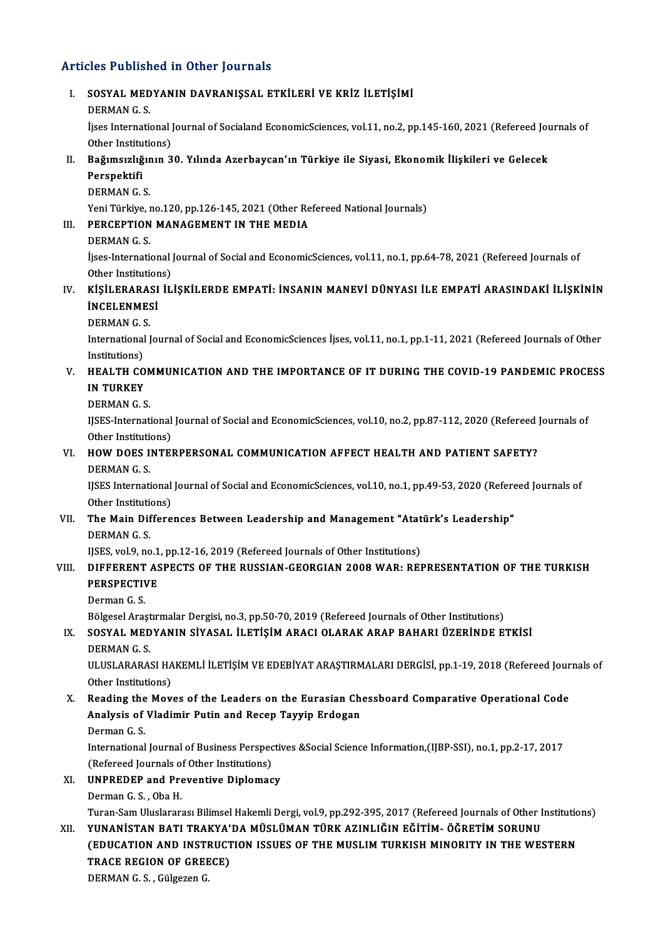# Articles Published in Other Journals

|       | <b>Articles Published in Other Journals</b>                                                                                                                                                  |
|-------|----------------------------------------------------------------------------------------------------------------------------------------------------------------------------------------------|
| Ι.    | SOSYAL MEDYANIN DAVRANIŞSAL ETKİLERİ VE KRİZ İLETİŞİMİ<br><b>DERMAN G.S.</b>                                                                                                                 |
|       | İjses International Journal of Socialand EconomicSciences, vol.11, no.2, pp.145-160, 2021 (Refereed Journals of<br>Other Institutions)                                                       |
| П.    | Bağımsızlığının 30. Yılında Azerbaycan'ın Türkiye ile Siyasi, Ekonomik İlişkileri ve Gelecek                                                                                                 |
|       | Perspektifi<br><b>DERMAN G S</b>                                                                                                                                                             |
| III.  | Yeni Türkiye, no.120, pp.126-145, 2021 (Other Refereed National Journals)<br>PERCEPTION MANAGEMENT IN THE MEDIA                                                                              |
|       | <b>DERMAN G.S.</b>                                                                                                                                                                           |
|       | İjses-International Journal of Social and EconomicSciences, vol.11, no.1, pp.64-78, 2021 (Refereed Journals of                                                                               |
| IV.   | Other Institutions)<br>KİŞİLERARASI İLİŞKİLERDE EMPATİ: İNSANIN MANEVİ DÜNYASI İLE EMPATİ ARASINDAKİ İLİŞKİNİN                                                                               |
|       | <b>INCELENMESI</b>                                                                                                                                                                           |
|       | <b>DERMANGS</b><br>International Journal of Social and EconomicSciences İjses, vol.11, no.1, pp.1-11, 2021 (Refereed Journals of Other                                                       |
|       | Institutions)                                                                                                                                                                                |
| V.    | <b>HEALTH COMMUNICATION AND THE IMPORTANCE OF IT DURING THE COVID-19 PANDEMIC PROCESS</b><br><b>IN TURKEY</b>                                                                                |
|       | <b>DERMAN G.S.</b>                                                                                                                                                                           |
|       | IJSES-International Journal of Social and EconomicSciences, vol.10, no.2, pp.87-112, 2020 (Refereed Journals of<br>Other Institutions)                                                       |
| VI.   | HOW DOES INTERPERSONAL COMMUNICATION AFFECT HEALTH AND PATIENT SAFETY?                                                                                                                       |
|       | DERMAN G.S.                                                                                                                                                                                  |
|       | IJSES International Journal of Social and EconomicSciences, vol.10, no.1, pp.49-53, 2020 (Refereed Journals of<br>Other Institutions)                                                        |
| VII.  | The Main Differences Between Leadership and Management "Atatürk's Leadership"                                                                                                                |
|       | <b>DERMAN G.S.</b><br>IJSES, vol.9, no.1, pp.12-16, 2019 (Refereed Journals of Other Institutions)                                                                                           |
| VIII. | DIFFERENT ASPECTS OF THE RUSSIAN-GEORGIAN 2008 WAR: REPRESENTATION OF THE TURKISH<br><b>PERSPECTIVE</b>                                                                                      |
|       | Derman G S                                                                                                                                                                                   |
| IX.   | Bölgesel Araştırmalar Dergisi, no.3, pp.50-70, 2019 (Refereed Journals of Other Institutions)<br>SOSYAL MEDYANIN SİYASAL İLETİŞİM ARACI OLARAK ARAP BAHARI ÜZERİNDE ETKİSİ                   |
|       | <b>DERMAN G.S.</b>                                                                                                                                                                           |
|       | ULUSLARARASI HAKEMLİ İLETİŞİM VE EDEBİYAT ARAŞTIRMALARI DERGİSİ, pp.1-19, 2018 (Refereed Journals of                                                                                         |
| Х.    | Other Institutions)<br>Reading the Moves of the Leaders on the Eurasian Chessboard Comparative Operational Code                                                                              |
|       | Analysis of Vladimir Putin and Recep Tayyip Erdogan                                                                                                                                          |
|       | Derman G.S.<br>International Journal of Business Perspectives & Social Science Information, (IJBP-SSI), no.1, pp.2-17, 2017                                                                  |
|       | (Refereed Journals of Other Institutions)                                                                                                                                                    |
| XI.   | <b>UNPREDEP and Preventive Diplomacy</b>                                                                                                                                                     |
|       | Derman G.S., Oba H.                                                                                                                                                                          |
| XII.  | Turan-Sam Uluslararası Bilimsel Hakemli Dergi, vol.9, pp.292-395, 2017 (Refereed Journals of Other Institutions)<br>YUNANİSTAN BATI TRAKYA'DA MÜSLÜMAN TÜRK AZINLIĞIN EĞİTİM- ÖĞRETİM SORUNU |
|       | (EDUCATION AND INSTRUCTION ISSUES OF THE MUSLIM TURKISH MINORITY IN THE WESTERN                                                                                                              |
|       | TRACE REGION OF GREECE)                                                                                                                                                                      |
|       | DERMAN G.S., Gülgezen G.                                                                                                                                                                     |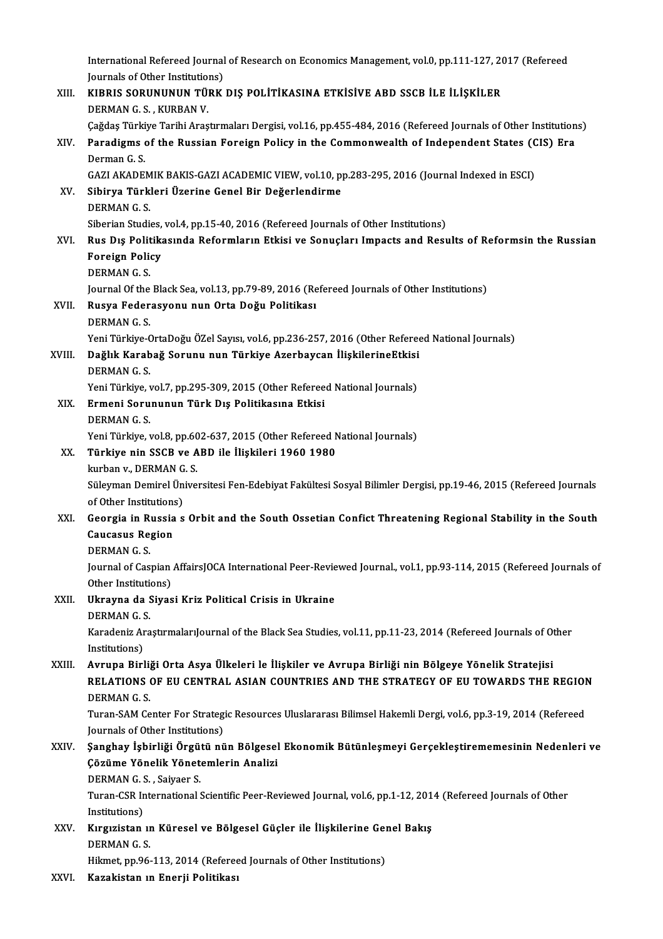International Refereed Journal of Research on Economics Management, vol.0, pp.111-127, 2017 (Refereed<br>Journals of Other Institutions) International Refereed Journal<br>Journals of Other Institutions)<br>VIRRIS SORUNUNUN TÜRK International Refereed Journal of Research on Economics Management, vol.0, pp.111-127, 20<br>Journals of Other Institutions)<br>XIII. KIBRIS SORUNUNUN TÜRK DIŞ POLİTİKASINA ETKİSİVE ABD SSCB İLE İLİŞKİLER<br>DERMAN C S. KURRAN V Journals of Other Institution<br>KIBRIS SORUNUNUN TÜ<br>DERMAN G. S. , KURBAN V.<br>Ceždes Türkiye Terihi Ares KIBRIS SORUNUNUN TÜRK DIŞ POLİTİKASINA ETKİSİVE ABD SSCB İLE İLİŞKİLER<br>DERMAN G. S. , KURBAN V.<br>Çağdaş Türkiye Tarihi Araştırmaları Dergisi, vol.16, pp.455-484, 2016 (Refereed Journals of Other Institutions)<br>Paradisme of t DERMAN G. S. , KURBAN V.<br>Çağdaş Türkiye Tarihi Araştırmaları Dergisi, vol.16, pp.455-484, 2016 (Refereed Journals of Other Institution<br>XIV. Paradigms of the Russian Foreign Policy in the Commonwealth of Independent Sta Çağdaş Türki<br><mark>Paradigms</mark><br>Derman G. S.<br>CAZI AKADE Paradigms of the Russian Foreign Policy in the Commonwealth of Independent States (C<br>Derman G.S.<br>GAZI AKADEMIK BAKIS-GAZI ACADEMIC VIEW, vol.10, pp.283-295, 2016 (Journal Indexed in ESCI)<br>Sibinya Türkleri Üzerine Canel Bir Derman G. S.<br>GAZI AKADEMIK BAKIS-GAZI ACADEMIC VIEW, vol.10, p<br>XV. Sibirya Türkleri Üzerine Genel Bir Değerlendirme<br>DERMAN G. S. GAZI AKADEMIK BAKIS-GAZI ACADEMIC VIEW, vol.10, pp.283-295, 2016 (Journal Indexed in ESCI) Sibirya Türkleri Üzerine Genel Bir Değerlendirme<br>DERMAN G. S.<br>Siberian Studies, vol.4, pp.15-40, 2016 (Refereed Journals of Other Institutions)<br>Pue Die Bolitikasında Beformların Etkisi ve Sonusları İmpests and Bosu XVI. Rus Dış Politikasında Reformların Etkisi ve Sonuçları Impacts and Results of Reformsin the Russian Siberian Studies,<br>Rus Dış Politika<br>Foreign Policy<br>DEPMAN C.S Foreign Policy<br>DERMAN G. S. Foreign Policy<br>DERMAN G. S.<br>Journal Of the Black Sea, vol.13, pp.79-89, 2016 (Refereed Journals of Other Institutions)<br>Puave Eedenseveny nun Onte Dečy Politikes; XVII. Rusya Federasyonu nun Orta Doğu Politikası<br>DERMAN G.S. Journal Of the<br><mark>Rusya Feder</mark><br>DERMAN G. S.<br><sup>Voni Türkiye (</sup> Yeni Türkiye-OrtaDoğu ÖZel Sayısı, vol.6, pp.236-257, 2016 (Other Refereed National Journals) DERMAN G. S.<br>Yeni Türkiye-OrtaDoğu ÖZel Sayısı, vol.6, pp.236-257, 2016 (Other Referee<br>XVIII. Dağlık Karabağ Sorunu nun Türkiye Azerbaycan İlişkilerineEtkisi Yeni Türkiye-C<br><mark>Dağlık Karab</mark><br>DERMAN G. S.<br><sup>Veni Türkiye</sup> Dağlık Karabağ Sorunu nun Türkiye Azerbaycan İlişkilerineEtkisi<br>DERMAN G. S.<br>Yeni Türkiye, vol.7, pp.295-309, 2015 (Other Refereed National Journals)<br>Ermani Sarununun Türk Dış Politikasına Etkisi DERMAN G. S.<br>Yeni Türkiye, vol.7, pp.295-309, 2015 (Other Referee<br>XIX. Ermeni Sorununun Türk Dış Politikasına Etkisi<br>DERMAN G. S. Yeni Türkiye, vol.7, pp.295-309, 2015 (Other Refereed National Journals) Ermeni Sorununun Türk Dış Politikasına Etkisi<br>DERMAN G. S.<br>Yeni Türkiye, vol.8, pp.602-637, 2015 (Other Refereed National Journals)<br>Türkiye nin SSCP ve APD ile Hiskileri 1960 1980 XX. Türkiye nin SSCB ve ABD ile İlişkileri 1960 1980 Yeni Türkiye, vol.8, pp.60<br>Türkiye nin SSCB ve A<br>kurban v., DERMAN G. S.<br>Süleyman Demirel Üniye Süleyman Demirel Üniversitesi Fen-Edebiyat Fakültesi Sosyal Bilimler Dergisi, pp.19-46, 2015 (Refereed Journals of Other Institutions) kurban v., DERMAN G. S. Süleyman Demirel Üniversitesi Fen-Edebiyat Fakültesi Sosyal Bilimler Dergisi, pp.19-46, 2015 (Refereed Journals<br>of Other Institutions)<br>XXI. Georgia in Russia s Orbit and the South Ossetian Confict Threatening Regional Stab of Other Institutions<br>Georgia in Russia<br>Caucasus Region<br>DEPMAN.C.S Georgia in R<br>Caucasus Re<br>DERMAN G.S.<br>Journal of Cos Caucasus Region<br>DERMAN G. S.<br>Journal of Caspian AffairsJOCA International Peer-Reviewed Journal., vol.1, pp.93-114, 2015 (Refereed Journals of DERMAN G. S.<br>Journal of Caspian<br>Other Institutions)<br>Ulrasune de Sives Journal of Caspian AffairsJOCA International Peer-Revie<br>Other Institutions)<br>XXII. Ukrayna da Siyasi Kriz Political Crisis in Ukraine Other Institution<br>Ukrayna da S<br>DERMAN G. S.<br>Kanadaniz Ana Ukrayna da Siyasi Kriz Political Crisis in Ukraine<br>DERMAN G. S.<br>Karadeniz AraştırmalarıJournal of the Black Sea Studies, vol.11, pp.11-23, 2014 (Refereed Journals of Other<br>Institutione) DERMAN G. S<br>Karadeniz Ar<br>Institutions)<br>Ayruna Pirl Karadeniz AraştırmalarıJournal of the Black Sea Studies, vol.11, pp.11-23, 2014 (Refereed Journals of Other Institutions)<br>XXIII. Avrupa Birliği Orta Asya Ülkeleri le İlişkiler ve Avrupa Birliği nin Bölgeye Yönelik Strateji Institutions)<br>Avrupa Birliği Orta Asya Ülkeleri le İlişkiler ve Avrupa Birliği nin Bölgeye Yönelik Stratejisi<br>RELATIONS OF EU CENTRAL ASIAN COUNTRIES AND THE STRATEGY OF EU TOWARDS THE REGION<br>DERMAN G. S. Avrupa Birli<br>RELATIONS<br>DERMAN G. S.<br>Turon SAM Co RELATIONS OF EU CENTRAL ASIAN COUNTRIES AND THE STRATEGY OF EU TOWARDS THE REGION<br>DERMAN G. S.<br>Turan-SAM Center For Strategic Resources Uluslararası Bilimsel Hakemli Dergi, vol.6, pp.3-19, 2014 (Refereed<br>Journals of Other DERMAN G. S.<br>Turan-SAM Center For Strateg<br>Journals of Other Institutions)<br>Sanghay Ichirliği Örgütü nü Turan-SAM Center For Strategic Resources Uluslararası Bilimsel Hakemli Dergi, vol.6, pp.3-19, 2014 (Refereed<br>Journals of Other Institutions)<br>XXIV. Sanghay İşbirliği Örgütü nün Bölgesel Ekonomik Bütünleşmeyi Gerçekleştireme Journals of Other Institutions)<br>Şanghay İşbirliği Örgütü nün Bölgesel<br>Çözüme Yönelik Yönetemlerin Analizi<br>PEPMAN C.S., Saiyaar S Şanghay İşbirliği Örgü<br>Çözüme Yönelik Yönet<br>DERMAN G.S., Saiyaer S.<br>Turan CSP International S Gözüme Yönelik Yönetemlerin Analizi<br>DERMAN G. S. , Saiyaer S.<br>Turan-CSR International Scientific Peer-Reviewed Journal, vol.6, pp.1-12, 2014 (Refereed Journals of Other<br>Institutions) DERMAN G.S., Saiyaer S. Turan-CSR International Scientific Peer-Reviewed Journal, vol.6, pp.1-12, 201<br>Institutions)<br>XXV. Kırgızistan ın Küresel ve Bölgesel Güçler ile İlişkilerine Genel Bakış<br>DEPMAN C.S Institutions)<br>Kırgızistan ım<br>DERMAN G. S.<br>Hilmat nn 96 Kırgızistan ın Küresel ve Bölgesel Güçler ile İlişkilerine Ger<br>DERMAN G. S.<br>Hikmet, pp.96-113, 2014 (Refereed Journals of Other Institutions)<br>Karakistan ın Enerii Bolitikası DERMAN G. S.<br>Hikmet, pp.96-113, 2014 (Refereed Journals of Other Institutions)<br>XXVI. Kazakistan ın Enerji Politikası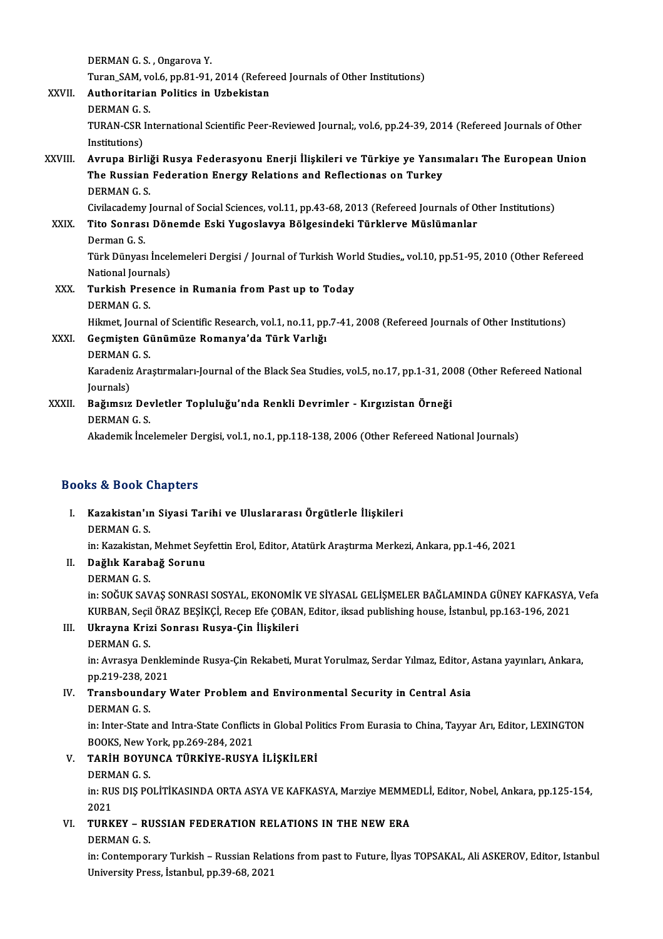DERMANGS, Ongarova Y. DERMAN G. S. , Ongarova Y.<br>Turan\_SAM, vol.6, pp.81-91, 2014 (Refereed Journals of Other Institutions)<br>Authoritarian Politics in Urbokistan XXVII. Authoritarian Politics in Uzbekistan<br>DERMAN G. S. Turan\_SAM, vo<br><mark>Authoritaria</mark><br>DERMAN G. S.<br>TURAN CSR In Authoritarian Politics in Uzbekistan<br>DERMAN G. S.<br>TURAN-CSR International Scientific Peer-Reviewed Journal;, vol.6, pp.24-39, 2014 (Refereed Journals of Other<br>Institutions) DERMAN G. S<br>TURAN-CSR I<br>Institutions)<br>Ayrung Pirl TURAN-CSR International Scientific Peer-Reviewed Journal;, vol.6, pp.24-39, 2014 (Refereed Journals of Other<br>Institutions)<br>XXVIII. Avrupa Birliği Rusya Federasyonu Enerji İlişkileri ve Türkiye ye Yansımaları The European U Institutions)<br>Avrupa Birliği Rusya Federasyonu Enerji İlişkileri ve Türkiye ye Yansı<br>The Russian Federation Energy Relations and Reflectionas on Turkey<br>PEPMAN.C.S Avrupa Birli<br>The Russian<br>DERMAN G. S.<br>Givilacadamu I The Russian Federation Energy Relations and Reflectionas on Turkey<br>DERMAN G. S.<br>Civilacademy Journal of Social Sciences, vol.11, pp.43-68, 2013 (Refereed Journals of Other Institutions)<br>Tito Songge: Dönemde Eski Yugoslavye DERMAN G. S.<br>Civilacademy Journal of Social Sciences, vol.11, pp.43-68, 2013 (Refereed Journals of O<br>XXIX. Tito Sonrası Dönemde Eski Yugoslavya Bölgesindeki Türklerve Müslümanlar<br>Derman G. S. Civilacademy<br>**Tito Sonras**<br>Derman G. S.<br>Türk Dünyas Türk Dünyası İncelemeleri Dergisi / Journal of Turkish World Studies,, vol.10, pp.51-95, 2010 (Other Refereed Derman G. S.<br>Türk Dünyası İncel<br>National Journals)<br>Turkish Presenss XXX. Turkish Presence in Rumania from Past up to Today<br>DERMAN G. S. National Journ<br><mark>Turkish Pres</mark><br>DERMAN G. S.<br><sup>Hilmot</sup> Journa Turkish Presence in Rumania from Past up to Today<br>DERMAN G. S.<br>Hikmet, Journal of Scientific Research, vol.1, no.11, pp.7-41, 2008 (Refereed Journals of Other Institutions)<br>Coemister Günümüze Bemenya'de Türk Verlığı DERMAN G. S.<br>Hikmet, Journal of Scientific Research, vol.1, no.11, pp<br>XXXI. Geçmişten Günümüze Romanya'da Türk Varlığı<br>DEPMAN G. S Hikmet, Journa<br>Geçmişten Gi<br>DERMAN G. S.<br>Kanadaniz Ana Geçmişten Günümüze Romanya'da Türk Varlığı<br>DERMAN G. S.<br>Karadeniz Araştırmaları-Journal of the Black Sea Studies, vol.5, no.17, pp.1-31, 2008 (Other Refereed National DERMAN<br>Karadeniz<br>Journals)<br>Poğumsuz Karadeniz Araştırmaları-Journal of the Black Sea Studies, vol.5, no.17, pp.1-31, 20<br>Journals)<br>XXXII. Bağımsız Devletler Topluluğu'nda Renkli Devrimler - Kırgızistan Örneği<br>DEPMAN C S Journals)<br><mark>Bağımsız Dev</mark><br>DERMAN G. S.<br>Akadamik İnce DERMAN G. S.<br>Akademik İncelemeler Dergisi, vol.1, no.1, pp.118-138, 2006 (Other Refereed National Journals)

### Books&Book Chapters

ooks & Book Chapters<br>I. Kazakistan'ın Siyasi Tarihi ve Uluslararası Örgütlerle İlişkileri<br>DEPMAN.C.S ng & Book<br>Kazakistan'ır<br>DERMAN G. S.<br>in: Kazakistan Kazakistan'ın Siyasi Tarihi ve Uluslararası Örgütlerle İlişkileri<br>DERMAN G. S.<br>in: Kazakistan, Mehmet Seyfettin Erol, Editor, Atatürk Araştırma Merkezi, Ankara, pp.1-46, 2021<br>Doğluk Karabağ Sarunu DERMAN G. S.<br>in: Kazakistan, Mehmet Sey<br>II. Dağlık Karabağ Sorunu<br>DERMAN G. S.

- in: Kazakistan,<br><mark>Dağlık Karab</mark><br>DERMAN G. S.<br>in: SOČUK SAV
- 

in: SOĞUK SAVAŞ SONRASI SOSYAL, EKONOMİK VE SİYASAL GELİŞMELER BAĞLAMINDA GÜNEY KAFKASYA, Vefa DERMAN G. S.<br>in: SOĞUK SAVAŞ SONRASI SOSYAL, EKONOMİK VE SİYASAL GELİŞMELER BAĞLAMINDA GÜNEY KAFKASYA<br>KURBAN, Seçil ÖRAZ BEŞİKÇİ, Recep Efe ÇOBAN, Editor, iksad publishing house, İstanbul, pp.163-196, 2021<br>Ukrayna Krisi So KURBAN, Seçil<br><mark>Ukrayna Kriz</mark><br>DERMAN G. S.<br>in: Ayrasya Da

- III. Ukrayna Krizi Sonrası Rusya-Çin İlişkileri<br>DERMAN G.S.
	-

in: Avrasya Denkleminde Rusya-Çin Rekabeti, Murat Yorulmaz, Serdar Yılmaz, Editor, Astana yayınları, Ankara, DERMAN G. S.<br>in: Avrasya Denkle<br>pp.219-238, 2021<br>Transhoundoru l

### IV. Transboundary Water Problem and Environmental Security in Central Asia<br>DERMAN G. S. pp.219-238, 2<br>Transbound:<br>DERMAN G. S.<br>in: Inter State

in: Inter-State and Intra-State Conflicts in Global Politics From Eurasia to China, Tayyar Arı, Editor, LEXINGTON **DERMAN G. S.<br>in: Inter-State and Intra-State Conflict<br>BOOKS, New York, pp.269-284, 2021<br>TABIH BOVIINCA TÜBEIVE BUSYA** 

V. TARİH BOYUNCA TÜRKİYE-RUSYA İLİŞKİLERİ BOOKS, New Y<br>TARİH BOYU<br>DERMAN G. S.<br>in: PUS DIS PO DERMAN G.S.

in: RUS DIŞ POLİTİKASINDA ORTA ASYA VE KAFKASYA, Marziye MEMMEDLİ, Editor, Nobel, Ankara, pp.125-154,<br>2021 in: RUS DIŞ POLİTİKASINDA ORTA ASYA VE KAFKASYA, Marziye MEMMI<br>2021<br>VI. TURKEY – RUSSIAN FEDERATION RELATIONS IN THE NEW ERA 2021<br>TURKEY – RI<br>DERMAN G. S.<br>in:Contamper

TURKEY – RUSSIAN FEDERATION RELATIONS IN THE NEW ERA<br>DERMAN G. S.<br>in: Contemporary Turkish – Russian Relations from past to Future, İlyas TOPSAKAL, Ali ASKEROV, Editor, Istanbul<br>University Press, İstanbul np.20,69, 2021 DERMAN G. S.<br>in: Contemporary Turkish – Russian Relat<br>University Press, İstanbul, pp.39-68, 2021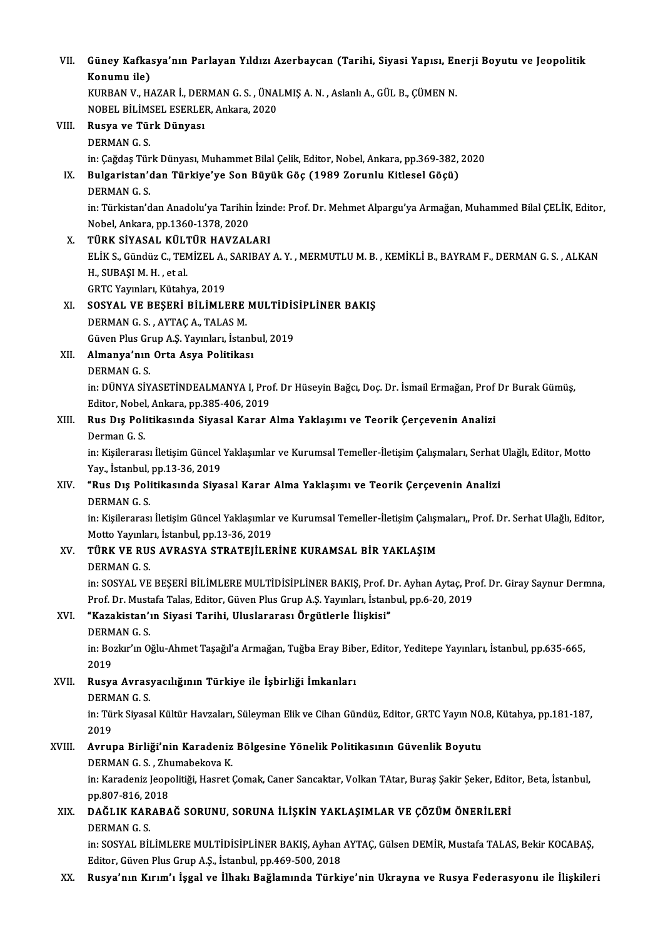| VII.   | Güney Kafkasya'nın Parlayan Yıldızı Azerbaycan (Tarihi, Siyasi Yapısı, Enerji Boyutu ve Jeopolitik<br>Konumu ile)         |
|--------|---------------------------------------------------------------------------------------------------------------------------|
|        | KURBAN V., HAZAR İ., DERMAN G. S., ÜNALMIŞ A. N., Aslanlı A., GÜL B., ÇÜMEN N.                                            |
|        | NOBEL BİLİMSEL ESERLER, Ankara, 2020                                                                                      |
| VIII.  | Rusya ve Türk Dünyası                                                                                                     |
|        | <b>DERMAN G.S.</b>                                                                                                        |
|        | in: Çağdaş Türk Dünyası, Muhammet Bilal Çelik, Editor, Nobel, Ankara, pp.369-382, 2020                                    |
| IX.    | Bulgaristan'dan Türkiye'ye Son Büyük Göç (1989 Zorunlu Kitlesel Göçü)                                                     |
|        | <b>DERMANGS</b>                                                                                                           |
|        | in: Türkistan'dan Anadolu'ya Tarihin İzinde: Prof. Dr. Mehmet Alpargu'ya Armağan, Muhammed Bilal ÇELİK, Editor,           |
|        | Nobel, Ankara, pp 1360-1378, 2020                                                                                         |
| X.     | TÜRK SİYASAL KÜLTÜR HAVZALARI                                                                                             |
|        | ELIK S., Gündüz C., TEMIZEL A., SARIBAY A. Y., MERMUTLU M. B., KEMIKLI B., BAYRAM F., DERMAN G. S., ALKAN                 |
|        | H., SUBAȘI M. H., et al.                                                                                                  |
|        | GRTC Yayınları, Kütahya, 2019                                                                                             |
| XI.    | SOSYAL VE BEŞERİ BİLİMLERE MULTİDİSİPLİNER BAKIŞ                                                                          |
|        | DERMAN G. S., AYTAÇ A., TALAS M.                                                                                          |
|        | Güven Plus Grup A.Ş. Yayınları, İstanbul, 2019                                                                            |
| XII.   | Almanya'nın Orta Asya Politikası                                                                                          |
|        | <b>DERMAN G.S.</b>                                                                                                        |
|        | in: DÜNYA SİYASETİNDEALMANYA I, Prof. Dr Hüseyin Bağcı, Doç. Dr. İsmail Ermağan, Prof Dr Burak Gümüş,                     |
|        | Editor, Nobel, Ankara, pp.385-406, 2019                                                                                   |
| XIII.  | Rus Dış Politikasında Siyasal Karar Alma Yaklaşımı ve Teorik Çerçevenin Analizi                                           |
|        | Derman G.S.                                                                                                               |
|        | in: Kişilerarası İletişim Güncel Yaklaşımlar ve Kurumsal Temeller-İletişim Çalışmaları, Serhat Ulağlı, Editor, Motto      |
|        | Yay, İstanbul, pp 13-36, 2019                                                                                             |
| XIV.   | "Rus Dış Politikasında Siyasal Karar Alma Yaklaşımı ve Teorik Çerçevenin Analizi                                          |
|        | <b>DERMANGS</b>                                                                                                           |
|        | in: Kişilerarası İletişim Güncel Yaklaşımlar ve Kurumsal Temeller-İletişim Çalışmaları,, Prof. Dr. Serhat Ulağlı, Editor, |
|        | Motto Yayınları, İstanbul, pp 13-36, 2019                                                                                 |
| XV.    | TÜRK VE RUS AVRASYA STRATEJİLERİNE KURAMSAL BİR YAKLAŞIM                                                                  |
|        | <b>DERMAN G S</b>                                                                                                         |
|        | in: SOSYAL VE BEŞERİ BİLİMLERE MULTİDİSİPLİNER BAKIŞ, Prof. Dr. Ayhan Aytaç, Prof. Dr. Giray Saynur Dermna,               |
|        | Prof. Dr. Mustafa Talas, Editor, Güven Plus Grup A.Ş. Yayınları, İstanbul, pp.6-20, 2019                                  |
| XVI.   | "Kazakistan'ın Siyasi Tarihi, Uluslararası Örgütlerle İlişkisi"                                                           |
|        | <b>DERMAN G.S.</b>                                                                                                        |
|        | in: Bozkır'ın Oğlu-Ahmet Taşağıl'a Armağan, Tuğba Eray Biber, Editor, Yeditepe Yayınları, İstanbul, pp.635-665,           |
|        | 2019                                                                                                                      |
| XVII.  | Rusya Avrasyacılığının Türkiye ile İşbirliği İmkanları                                                                    |
|        | <b>DERMANGS</b>                                                                                                           |
|        | in: Türk Siyasal Kültür Havzaları, Süleyman Elik ve Cihan Gündüz, Editor, GRTC Yayın NO.8, Kütahya, pp.181-187,           |
|        | 2019                                                                                                                      |
| XVIII. | Avrupa Birliği'nin Karadeniz Bölgesine Yönelik Politikasının Güvenlik Boyutu                                              |
|        | DERMAN G. S., Zhumabekova K.                                                                                              |
|        | in: Karadeniz Jeopolitiği, Hasret Çomak, Caner Sancaktar, Volkan TAtar, Buraş Şakir Şeker, Editor, Beta, İstanbul,        |
|        | pp.807-816, 2018                                                                                                          |
| XIX.   | DAĞLIK KARABAĞ SORUNU, SORUNA İLİŞKİN YAKLAŞIMLAR VE ÇÖZÜM ÖNERİLERİ                                                      |
|        | <b>DERMAN G.S.</b>                                                                                                        |
|        | in: SOSYAL BİLİMLERE MULTİDİSİPLİNER BAKIŞ, Ayhan AYTAÇ, Gülsen DEMİR, Mustafa TALAS, Bekir KOCABAŞ,                      |
|        | Editor, Güven Plus Grup A.Ş., İstanbul, pp.469-500, 2018                                                                  |
| XX.    | Rusya'nın Kırım'ı İşgal ve İlhakı Bağlamında Türkiye'nin Ukrayna ve Rusya Federasyonu ile İlişkileri                      |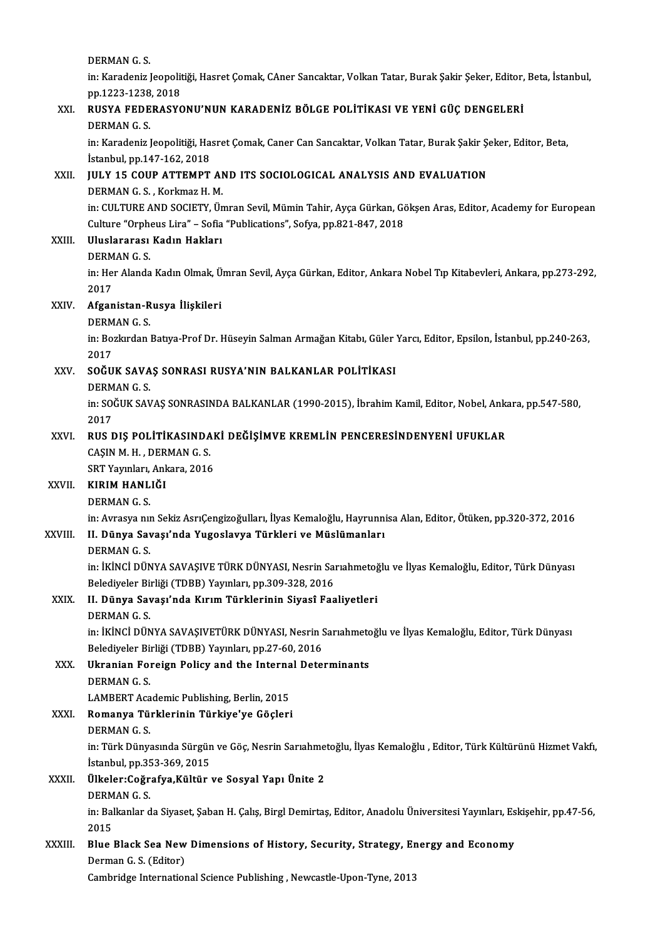DERMANG.S.

DERMAN G. S.<br>in: Karadeniz Jeopolitiği, Hasret Çomak, CAner Sancaktar, Volkan Tatar, Burak Şakir Şeker, Editor, Beta, İstanbul,<br>PP 1333 1338 2018 **DERMAN G. S.<br>in: Karadeniz Jeopolit<br>pp.1223-1238, 2018<br>PUSYA FEDERASYC** in: Karadeniz Jeopolitiği, Hasret Çomak, CAner Sancaktar, Volkan Tatar, Burak Şakir Şeker, Editor,<br>pp.1223-1238, 2018<br>XXI. RUSYA FEDERASYONU'NUN KARADENİZ BÖLGE POLİTİKASI VE YENİ GÜÇ DENGELERİ

# pp.1223-1238<br>RUSYA FEDE<br>DERMAN G. S.<br>in: Karadoniz l RUSYA FEDERASYONU'NUN KARADENİZ BÖLGE POLİTİKASI VE YENİ GÜÇ DENGELERİ<br>DERMAN G. S.<br>in: Karadeniz Jeopolitiği, Hasret Çomak, Caner Can Sancaktar, Volkan Tatar, Burak Şakir Şeker, Editor, Beta,<br>İstanbul an 147 162 2018

DERMAN G. S.<br>in: Karadeniz Jeopolitiği, Ha:<br>İstanbul, pp.147-162, 2018<br>IIII V 15 COUP ATTEMPT in: Karadeniz Jeopolitiği, Hasret Çomak, Caner Can Sancaktar, Volkan Tatar, Burak Şakir Şolistanbul, pp.147-162, 2018<br>XXII. JULY 15 COUP ATTEMPT AND ITS SOCIOLOGICAL ANALYSIS AND EVALUATION<br>REPMAN G S. Korlmaz H M

# Istanbul, pp.147-162, 2018<br>JULY 15 COUP ATTEMPT AND ITS SOCIOLOGICAL ANALYSIS AND EVALUATION<br>DERMAN G. S. , Korkmaz H. M.

JULY 15 COUP ATTEMPT AND ITS SOCIOLOGICAL ANALYSIS AND EVALUATION<br>DERMAN G. S. , Korkmaz H. M.<br>in: CULTURE AND SOCIETY, Ümran Sevil, Mümin Tahir, Ayça Gürkan, Gökşen Aras, Editor, Academy for European<br>Culture "Ornbeus Lire DERMAN G. S. , Korkmaz H. M.<br>in: CULTURE AND SOCIETY, Ümran Sevil, Mümin Tahir, Ayça Gürkan, Gö<br>Culture "Orpheus Lira" – Sofia "Publications", Sofya, pp.821-847, 2018<br>Wuslareree: Kedyn Hakları Culture "Orpheus Lira" - Sofia "Publications", Sofya, pp.821-847, 2018

### XXIII. Uluslararası Kadın Hakları<br>DERMAN G. S. Uluslararası Kadın Hakları<br>DERMAN G. S.<br>in: Her Alanda Kadın Olmak, Ümran Sevil, Ayça Gürkan, Editor, Ankara Nobel Tıp Kitabevleri, Ankara, pp.273-292,<br>2017 DERM<br>in: Hei<br>2017 in: Her Alanda Kadın Olmak, Ü<br>2017<br>XXIV. **Afganistan-Rusya İlişkileri**<br>PEPMAN C S

# 2017<br><mark>Afganistan-R</mark><br>DERMAN G. S.<br>in: Perlurdan

DERMAN G.S.

in: Bozkırdan Batıya-Prof Dr. Hüseyin Salman Armağan Kitabı, Güler Yarcı, Editor, Epsilon, İstanbul, pp.240-263,<br>2017 in: Bozkırdan Batıya-Prof Dr. Hüseyin Salman Armağan Kitabı, Güler<br>2017<br>XXV. SOĞUK SAVAŞ SONRASI RUSYA'NIN BALKANLAR POLİTİKASI<br>DEPMAN G S

# 2017<br><mark>SOĞUK SAVA</mark><br>DERMAN G. S.<br>in: SOČUK SAV

DERMAN G.S.

in: SOĞUK SAVAŞ SONRASINDA BALKANLAR (1990-2015), İbrahim Kamil, Editor, Nobel, Ankara, pp.547-580,<br>2017 in: SOĞUK SAVAŞ SONRASINDA BALKANLAR (1990-2015), İbrahim Kamil, Editor, Nobel, Anka<br>2017<br>XXVI. RUS DIŞ POLİTİKASINDAKİ DEĞİŞİMVE KREMLİN PENCERESİNDENYENİ UFUKLAR

# 2017<br>RUS DIŞ POLİTİKASINDA<br>CAŞIN M. H. , DERMAN G. S.<br>SPT Younları Ankara 2016 RUS DIŞ POLİTİKASINDAI<br>CAŞIN M. H. , DERMAN G. S.<br>SRT Yayınları, Ankara, 2016<br>KIBIM HANI IĞI

SRT Yayınları, Ankara, 2016

# XXVI . KIRIMHANLIĞI

KIRIM HANLIĞI<br>DERMAN G. S.<br>in: Avrasya nın Sekiz AsrıÇengizoğulları, İlyas Kemaloğlu, Hayrunnisa Alan, Editor, Ötüken, pp.320-372, 2016<br>U. Dünye Savası'nde Yugoslavye Türkleri ve Müslümenlerı

### XXVIII. II. Dünya Savaşı'nda Yugoslavya Türkleri ve Müslümanları<br>DERMAN G. S. in: Avrasya n<mark>ıı</mark><br>II. Dünya Sav<br>DERMAN G. S.<br>in: İkiNCİ DÜN

II. <mark>Dünya Savaşı'nda Yugoslavya Türkleri ve Müslümanları</mark><br>DERMAN G. S.<br>in: İKİNCİ DÜNYA SAVAŞIVE TÜRK DÜNYASI, Nesrin Sarıahmetoğlu ve İlyas Kemaloğlu, Editor, Türk Dünyası<br>Belediyeler Birliği (TDBB) Yayınları np 200,229, DERMAN G. S.<br>in: İKİNCİ DÜNYA SAVAŞIVE TÜRK DÜNYASI, Nesrin Saı<br>Belediyeler Birliği (TDBB) Yayınları, pp.309-328, 2016<br>IL Dünya Savası'nda Kırım Türklarinin Siyasî Esa in: İKİNCİ DÜNYA SAVAŞIVE TÜRK DÜNYASI, Nesrin Sarıahmetoğ<br>Belediyeler Birliği (TDBB) Yayınları, pp.309-328, 2016<br>XXIX. II. Dünya Savaşı'nda Kırım Türklerinin Siyasî Faaliyetleri<br>PEPMAN C S

## Belediyeler Birliği (TDBB) Yayınları, pp.309-328, 2016<br>XXIX. II. Dünya Savaşı'nda Kırım Türklerinin Siyasî Faaliyetleri<br>DERMAN G. S. II. <mark>Dünya Savaşı'nda Kırım Türklerinin Siyasî Faaliyetleri</mark><br>DERMAN G. S.<br>in: İKİNCİ DÜNYA SAVAŞIVETÜRK DÜNYASI, Nesrin Sarıahmetoğlu ve İlyas Kemaloğlu, Editor, Türk Dünyası<br>Belediyeler Birliği (TDBB) Yayınları pr.27,60,2 DERMAN G. S.<br>in: İKİNCİ DÜNYA SAVAŞIVETÜRK DÜNYASI, Nesrin S.<br>Belediyeler Birliği (TDBB) Yayınları, pp.27-60, 2016<br>Ukranian Ferejsu Belisy and the Internal Dete

in: İKİNCİ DÜNYA SAVAŞIVETÜRK DÜNYASI, Nesrin Sarıahmetc<br>Belediyeler Birliği (TDBB) Yayınları, pp.27-60, 2016<br>XXX. Ukranian Foreign Policy and the Internal Determinants<br>DEPMAN C S

## Belediyeler Bir<br><mark>Ukranian Fo</mark>i<br>DERMAN G. S.<br>LAMPEPT Aca Ukranian Foreign Policy and the Interna<br>DERMAN G. S.<br>LAMBERT Academic Publishing, Berlin, 2015<br>Bemanya Türklerinin Türkiye'ye Gösleri DERMAN G. S.<br>LAMBERT Academic Publishing, Berlin, 2015<br>XXXI. Romanya Türklerinin Türkiye'ye Göçleri<br>DEPMAN G. S

# LAMBERT Aca<br><mark>Romanya Tü</mark><br>DERMAN G. S.<br>in: Türk Düny

Romanya Türklerinin Türkiye'ye Göçleri<br>DERMAN G. S.<br>in: Türk Dünyasında Sürgün ve Göç, Nesrin Sarıahmetoğlu, İlyas Kemaloğlu , Editor, Türk Kültürünü Hizmet Vakfı,<br>İstanbul nn 252,260,2015 DERMAN G. S.<br>in: Türk Dünyasında Sürgün<br>İstanbul, pp.353-369, 2015<br>Ülkeler:Coğrafua Kültür in: Türk Dünyasında Sürgün ve Göç, Nesrin Sarıahme<br>İstanbul, pp.353-369, 2015<br>XXXII. Ülkeler:Coğrafya,Kültür ve Sosyal Yapı Ünite 2

# İstanbul, pp.353-369, 2015<br>Ülkeler:Coğrafya,Kültür ve Sosyal Yapı Ünite 2<br>DERMAN G. S.

Ülkeler:Coğrafya,Kültür ve Sosyal Yapı Ünite 2<br>DERMAN G. S.<br>in: Balkanlar da Siyaset, Şaban H. Çalış, Birgl Demirtaş, Editor, Anadolu Üniversitesi Yayınları, Eskişehir, pp.47-56, DERM<br>in: Bal<br>2015<br>Phre in: Balkanlar da Siyaset, Şaban H. Çalış, Birgl Demirtaş, Editor, Anadolu Üniversitesi Yayınları, Es<br>2015<br>XXXIII. Blue Black Sea New Dimensions of History, Security, Strategy, Energy and Economy

# 2015<br>Blue Black Sea New<br>Derman G.S. (Editor)<br>Combridge Internation Blue Black Sea New Dimensions of History, Security, Strategy, Er<br>Derman G. S. (Editor)<br>Cambridge International Science Publishing , Newcastle-Upon-Tyne, 2013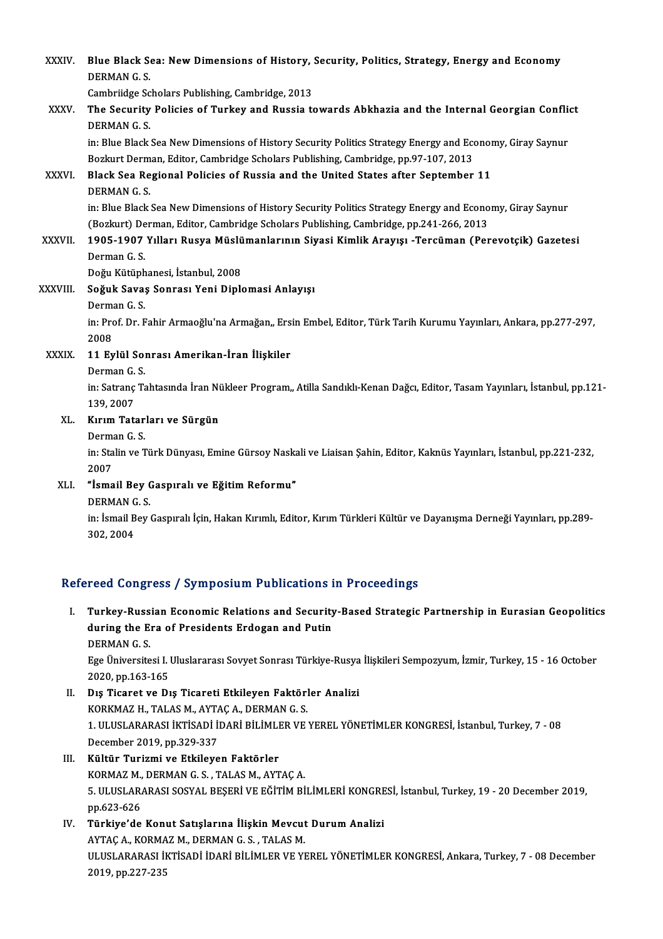| XXXIV.        | Blue Black Sea: New Dimensions of History, Security, Politics, Strategy, Energy and Economy<br>DERMAN G.S.            |
|---------------|-----------------------------------------------------------------------------------------------------------------------|
|               | Cambriidge Scholars Publishing, Cambridge, 2013                                                                       |
| XXXV.         | The Security Policies of Turkey and Russia towards Abkhazia and the Internal Georgian Conflict<br><b>DERMAN G.S.</b>  |
|               | in: Blue Black Sea New Dimensions of History Security Politics Strategy Energy and Economy, Giray Saynur              |
|               | Bozkurt Derman, Editor, Cambridge Scholars Publishing, Cambridge, pp.97-107, 2013                                     |
| <b>XXXVI</b>  | Black Sea Regional Policies of Russia and the United States after September 11<br><b>DERMAN G S</b>                   |
|               | in: Blue Black Sea New Dimensions of History Security Politics Strategy Energy and Economy, Giray Saynur              |
|               | (Bozkurt) Derman, Editor, Cambridge Scholars Publishing, Cambridge, pp.241-266, 2013                                  |
| <b>XXXVII</b> | 1905-1907 Yılları Rusya Müslümanlarının Siyasi Kimlik Arayışı -Tercüman (Perevotçik) Gazetesi                         |
|               | Derman G.S.                                                                                                           |
|               | Doğu Kütüphanesi, İstanbul, 2008                                                                                      |
| XXXVIII.      | Soğuk Savaş Sonrası Yeni Diplomasi Anlayışı                                                                           |
|               | Derman G.S.                                                                                                           |
|               | in: Prof. Dr. Fahir Armaoğlu'na Armağan,, Ersin Embel, Editor, Türk Tarih Kurumu Yayınları, Ankara, pp.277-297,       |
|               | 2008                                                                                                                  |
| XXXIX.        | 11 Eylül Sonrası Amerikan-İran İlişkiler                                                                              |
|               | Derman G.S.                                                                                                           |
|               | in: Satranç Tahtasında İran Nükleer Program,, Atilla Sandıklı-Kenan Dağcı, Editor, Tasam Yayınları, İstanbul, pp.121- |
|               | 139, 2007                                                                                                             |
| XL.           | Kırım Tatarları ve Sürgün                                                                                             |
|               | Derman G.S.                                                                                                           |
|               | in: Stalin ve Türk Dünyası, Emine Gürsoy Naskali ve Liaisan Şahin, Editor, Kaknüs Yayınları, İstanbul, pp.221-232,    |
|               | 2007                                                                                                                  |
| XLI.          | "İsmail Bey Gaspıralı ve Eğitim Reformu"                                                                              |
|               | <b>DERMAN G.S.</b>                                                                                                    |
|               | in: İsmail Bey Gaspıralı İçin, Hakan Kırımlı, Editor, Kırım Türkleri Kültür ve Dayanışma Derneği Yayınları, pp.289-   |
|               | 302, 2004                                                                                                             |
|               |                                                                                                                       |

#### Refereed Congress / Symposium Publications in Proceedings

I. Turkey-Russian Economic Relations and Security-Based Strategic Partnership in Eurasian Geopolitics Turkey-Russian Economic Relations and Security<br>during the Era of Presidents Erdogan and Putin<br>DEPMAN C S Turkey-Russ<br>during the E<br>DERMAN G. S.<br>Ese Üniversite during the Era of Presidents Erdogan and Putin<br>DERMAN G. S.<br>Ege Üniversitesi I. Uluslararası Sovyet Sonrası Türkiye-Rusya İlişkileri Sempozyum, İzmir, Turkey, 15 - 16 October<br>2020. pp.162.165 DERMAN G. S.<br>Ege Üniversitesi I. l<br>2020, pp.163-165<br>Die Tisaret ve Di

Ege Üniversitesi I. Uluslararası Sovyet Sonrası Türkiye-Rusya<br>2020, pp.163-165<br>II. Dış Ticaret ve Dış Ticareti Etkileyen Faktörler Analizi<br>2002MAZU TALASMANTACA DEPMANCS 2020, pp.163-165<br>Dış Ticaret ve Dış Ticareti Etkileyen Faktörl<br>KORKMAZ H., TALAS M., AYTAÇ A., DERMAN G. S.<br>1. ULUSLARARASI İKTİSADİ İDARİ BİLİMLER VE Dış Ticaret ve Dış Ticareti Etkileyen Faktörler Analizi<br>KORKMAZ H., TALAS M., AYTAÇ A., DERMAN G. S.<br>1. ULUSLARARASI İKTİSADİ İDARİ BİLİMLER VE YEREL YÖNETİMLER KONGRESİ, İstanbul, Turkey, 7 - 08<br>Desember 2019, pp.229, 227 KORKMAZ H., TALAS M., AYTA<br>1. ULUSLARARASI İKTİSADİ İl<br>December 2019, pp.329-337<br>Kültür Turizmi ve Etkileve December 2019, pp.329-337<br>III. Kültür Turizmi ve Etkileyen Faktörler

- December 2019, pp.329-337<br>Kültür Turizmi ve Etkileyen Faktörler<br>KORMAZ M., DERMAN G. S. , TALAS M., AYTAÇ A.<br>5. ULUSLARARASI SOSYAL PESEDİ VE FĞİTİM Pİ 5. ULUSLARARASI SOSYAL BEŞERİ VE EĞİTİM BİLİMLERİ KONGRESİ, İstanbul, Turkey, 19 - 20 December 2019,<br>pp.623-626 KORMAZ M.,<br>5. ULUSLAR,<br>pp.623-626<br>Türkiye'de 5. ULUSLARARASI SOSYAL BEŞERİ VE EĞİTİM BİLİMLERİ KONGRE<br>pp.623-626<br>IV. Türkiye'de Konut Satışlarına İlişkin Mevcut Durum Analizi<br>AVTAC A. KORMAZ M. DERMAN C. S. TALAS M
- pp.623-626<br>Türkiye'de Konut Satışlarına İlişkin Mevcut<br>AYTAÇ A., KORMAZ M., DERMAN G. S. , TALAS M.<br>ULUSLARARASLİKTİSADİ İDADİ PİLİMLER VE VI Türkiye'de Konut Satışlarına İlişkin Mevcut Durum Analizi<br>AYTAÇ A., KORMAZ M., DERMAN G. S. , TALAS M.<br>ULUSLARARASI İKTİSADİ İDARİ BİLİMLER VE YEREL YÖNETİMLER KONGRESİ, Ankara, Turkey, 7 - 08 December<br>2010 nd 227 225 AYTAÇ A., KORMA<br>ULUSLARARASI İI<br>2019, pp.227<mark>-</mark>235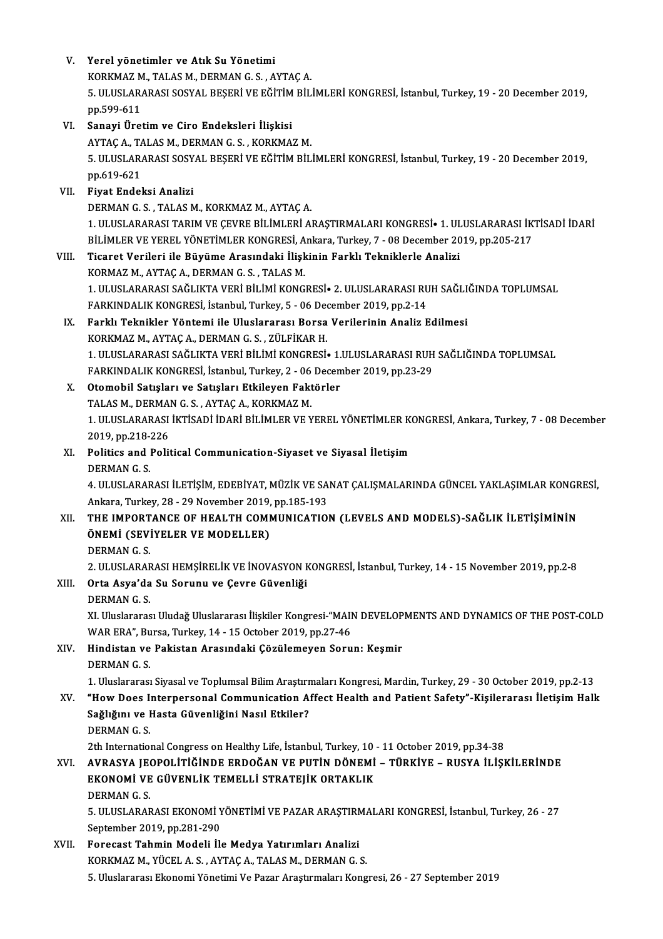| V.    | Yerel yönetimler ve Atık Su Yönetimi                                                                                                           |
|-------|------------------------------------------------------------------------------------------------------------------------------------------------|
|       | KORKMAZ M., TALAS M., DERMAN G. S., AYTAÇ A.                                                                                                   |
|       | 5. ULUSLARARASI SOSYAL BEŞERİ VE EĞİTİM BİLİMLERİ KONGRESİ, İstanbul, Turkey, 19 - 20 December 2019,<br>pp 599-611                             |
| VI.   | Sanayi Üretim ve Ciro Endeksleri İlişkisi                                                                                                      |
|       | AYTAÇ A., TALAS M., DERMAN G. S., KORKMAZ M.                                                                                                   |
|       | 5. ULUSLARARASI SOSYAL BEŞERİ VE EĞİTİM BİLİMLERİ KONGRESİ, İstanbul, Turkey, 19 - 20 December 2019,<br>pp 619-621                             |
| VII.  | Fiyat Endeksi Analizi                                                                                                                          |
|       | DERMAN G. S., TALAS M., KORKMAZ M., AYTAÇ A.                                                                                                   |
|       | 1. ULUSLARARASI TARIM VE ÇEVRE BİLİMLERİ ARAŞTIRMALARI KONGRESİ• 1. ULUSLARARASI İKTİSADİ İDARİ                                                |
|       | BİLİMLER VE YEREL YÖNETİMLER KONGRESİ, Ankara, Turkey, 7 - 08 December 2019, pp.205-217                                                        |
| VIII. | Ticaret Verileri ile Büyüme Arasındaki İlişkinin Farklı Tekniklerle Analizi                                                                    |
|       | KORMAZ M., AYTAÇ A., DERMAN G. S., TALAS M.                                                                                                    |
|       | 1. ULUSLARARASI SAĞLIKTA VERİ BİLİMİ KONGRESİ• 2. ULUSLARARASI RUH SAĞLIĞINDA TOPLUMSAL                                                        |
|       | FARKINDALIK KONGRESİ, İstanbul, Turkey, 5 - 06 December 2019, pp.2-14                                                                          |
| IX.   | Farklı Teknikler Yöntemi ile Uluslararası Borsa Verilerinin Analiz Edilmesi                                                                    |
|       | KORKMAZ M., AYTAÇ A., DERMAN G. S., ZÜLFİKAR H.                                                                                                |
|       | 1. ULUSLARARASI SAĞLIKTA VERİ BİLİMİ KONGRESİ• 1.ULUSLARARASI RUH SAĞLIĞINDA TOPLUMSAL                                                         |
|       | FARKINDALIK KONGRESİ, İstanbul, Turkey, 2 - 06 December 2019, pp.23-29                                                                         |
| X.    | Otomobil Satışları ve Satışları Etkileyen Faktörler                                                                                            |
|       | TALAS M., DERMAN G. S., AYTAÇ A., KORKMAZ M.                                                                                                   |
|       | 1. ULUSLARARASI İKTİSADİ İDARİ BİLİMLER VE YEREL YÖNETİMLER KONGRESİ, Ankara, Turkey, 7 - 08 December                                          |
|       | 2019, pp 218-226                                                                                                                               |
| XI.   | Politics and Political Communication-Siyaset ve Siyasal İletişim                                                                               |
|       | <b>DERMANGS</b>                                                                                                                                |
|       | 4. ULUSLARARASI İLETİŞİM, EDEBİYAT, MÜZİK VE SANAT ÇALIŞMALARINDA GÜNCEL YAKLAŞIMLAR KONGRESİ,                                                 |
|       | Ankara, Turkey, 28 - 29 November 2019, pp 185-193                                                                                              |
| XII.  | THE IMPORTANCE OF HEALTH COMMUNICATION (LEVELS AND MODELS)-SAGLIK ILETIŞIMININ                                                                 |
|       | ÖNEMİ (SEVİYELER VE MODELLER)                                                                                                                  |
|       | <b>DERMANGS</b>                                                                                                                                |
|       | 2. ULUSLARARASI HEMŞİRELİK VE İNOVASYON KONGRESİ, İstanbul, Turkey, 14 - 15 November 2019, pp.2-8<br>Orta Asya'da Su Sorunu ve Çevre Güvenliği |
| XIII. | <b>DERMAN G S</b>                                                                                                                              |
|       | XI. Uluslararası Uludağ Uluslararası İlişkiler Kongresi-"MAIN DEVELOPMENTS AND DYNAMICS OF THE POST-COLD                                       |
|       | WAR ERA", Bursa, Turkey, 14 - 15 October 2019, pp.27-46                                                                                        |
| XIV.  | Hindistan ve Pakistan Arasındaki Çözülemeyen Sorun: Keşmir                                                                                     |
|       | <b>DERMAN G.S.</b>                                                                                                                             |
|       | 1. Uluslararası Siyasal ve Toplumsal Bilim Araştırmaları Kongresi, Mardin, Turkey, 29 - 30 October 2019, pp.2-13                               |
| XV.   | "How Does Interpersonal Communication Affect Health and Patient Safety"-Kişilerarası İletişim Halk                                             |
|       | Sağlığını ve Hasta Güvenliğini Nasıl Etkiler?                                                                                                  |
|       | <b>DERMAN G S</b>                                                                                                                              |
|       | 2th International Congress on Healthy Life, İstanbul, Turkey, 10 - 11 October 2019, pp.34-38                                                   |
| XVI.  | AVRASYA JEOPOLITIĞINDE ERDOĞAN VE PUTIN DÖNEMI - TÜRKIYE - RUSYA İLIŞKILERINDE                                                                 |
|       | EKONOMİ VE GÜVENLİK TEMELLİ STRATEJİK ORTAKLIK                                                                                                 |
|       | <b>DERMAN G.S.</b>                                                                                                                             |
|       | 5. ULUSLARARASI EKONOMİ YÖNETİMİ VE PAZAR ARAŞTIRMALARI KONGRESİ, İstanbul, Turkey, 26 - 27                                                    |
|       | September 2019, pp.281-290                                                                                                                     |
| XVII. | Forecast Tahmin Modeli İle Medya Yatırımları Analizi                                                                                           |
|       | KORKMAZ M., YÜCEL A. S., AYTAÇ A., TALAS M., DERMAN G. S.                                                                                      |
|       | 5. Uluslararası Ekonomi Yönetimi Ve Pazar Araştırmaları Kongresi, 26 - 27 September 2019                                                       |
|       |                                                                                                                                                |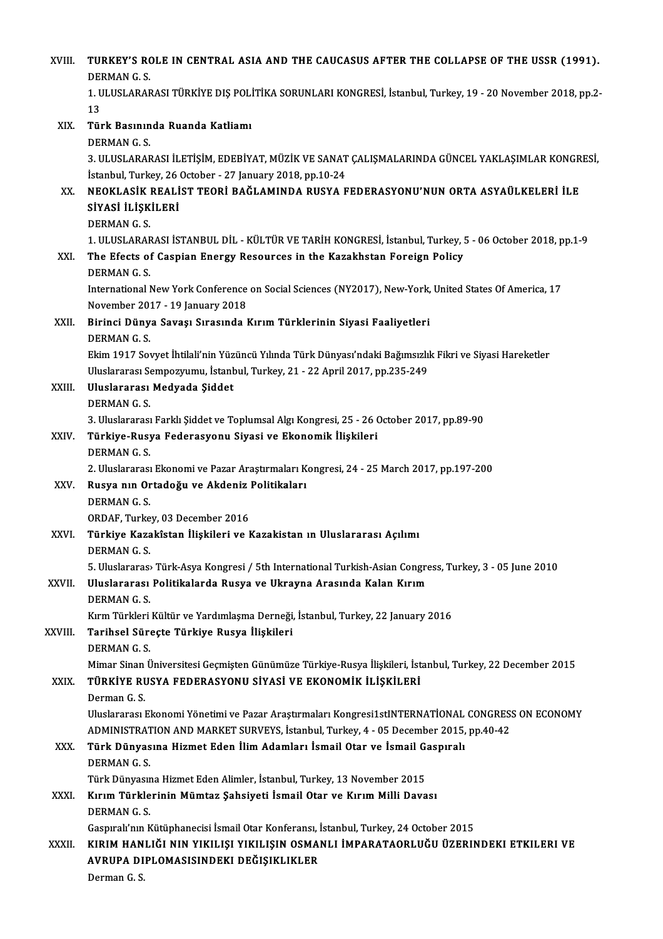| XVIII.  | TURKEY'S ROLE IN CENTRAL ASIA AND THE CAUCASUS AFTER THE COLLAPSE OF THE USSR (1991).<br>DERMAN G.S.                                                            |
|---------|-----------------------------------------------------------------------------------------------------------------------------------------------------------------|
|         | 1. ULUSLARARASI TÜRKİYE DIŞ POLİTİKA SORUNLARI KONGRESİ, İstanbul, Turkey, 19 - 20 November 2018, pp.2-<br>13                                                   |
| XIX.    | Türk Basınında Ruanda Katliamı                                                                                                                                  |
|         | <b>DERMAN G.S.</b>                                                                                                                                              |
|         | 3. ULUSLARARASI İLETİŞİM, EDEBİYAT, MÜZİK VE SANAT ÇALIŞMALARINDA GÜNCEL YAKLAŞIMLAR KONGRESİ,<br>İstanbul, Turkey, 26 October - 27 January 2018, pp.10-24      |
| XX.     | NEOKLASİK REALİST TEORİ BAĞLAMINDA RUSYA FEDERASYONU'NUN ORTA ASYAÜLKELERİ İLE<br>SİYASİ İLİŞKİLERİ                                                             |
|         | <b>DERMAN G S</b>                                                                                                                                               |
|         | 1. ULUSLARARASI İSTANBUL DİL - KÜLTÜR VE TARİH KONGRESİ, İstanbul, Turkey, 5 - 06 October 2018, pp.1-9                                                          |
| XXI.    | The Efects of Caspian Energy Resources in the Kazakhstan Foreign Policy<br><b>DERMAN G.S.</b>                                                                   |
|         | International New York Conference on Social Sciences (NY2017), New-York, United States Of America, 17<br>November 2017 - 19 January 2018                        |
| XXII.   | Birinci Dünya Savaşı Sırasında Kırım Türklerinin Siyasi Faaliyetleri<br><b>DERMAN G.S.</b>                                                                      |
|         | Ekim 1917 Sovyet İhtilali'nin Yüzüncü Yılında Türk Dünyası'ndaki Bağımsızlık Fikri ve Siyasi Hareketler                                                         |
|         | Uluslararası Sempozyumu, İstanbul, Turkey, 21 - 22 April 2017, pp.235-249                                                                                       |
| XXIII.  | Uluslararası Medyada Şiddet<br><b>DERMANGS</b>                                                                                                                  |
|         | 3. Uluslararası Farklı Şiddet ve Toplumsal Algı Kongresi, 25 - 26 October 2017, pp.89-90                                                                        |
| XXIV.   | Türkiye-Rusya Federasyonu Siyasi ve Ekonomik İlişkileri                                                                                                         |
|         | <b>DERMANGS</b>                                                                                                                                                 |
|         | 2. Uluslararası Ekonomi ve Pazar Araştırmaları Kongresi, 24 - 25 March 2017, pp.197-200                                                                         |
| XXV.    | Rusya nın Ortadoğu ve Akdeniz Politikaları                                                                                                                      |
|         | <b>DERMANGS</b>                                                                                                                                                 |
|         | ORDAF. Turkey. 03 December 2016                                                                                                                                 |
| XXVI.   | Türkiye Kazakîstan İlişkileri ve Kazakistan ın Uluslararası Açılımı<br><b>DERMAN G.S.</b>                                                                       |
|         | 5. Uluslararas» Türk-Asya Kongresi / 5th International Turkish-Asian Congress, Turkey, 3 - 05 June 2010                                                         |
| XXVII.  | Uluslararası Politikalarda Rusya ve Ukrayna Arasında Kalan Kırım                                                                                                |
|         | DERMAN G S                                                                                                                                                      |
|         | Kırm Türkleri Kültür ve Yardımlaşma Derneği, İstanbul, Turkey, 22 January 2016                                                                                  |
| XXVIII. | Tarihsel Süreçte Türkiye Rusya İlişkileri<br><b>DERMAN G.S.</b>                                                                                                 |
|         | Mimar Sinan Üniversitesi Geçmişten Günümüze Türkiye-Rusya İlişkileri, İstanbul, Turkey, 22 December 2015                                                        |
| XXIX.   | TÜRKİYE RUSYA FEDERASYONU SİYASİ VE EKONOMİK İLİŞKİLERİ                                                                                                         |
|         | Derman G S                                                                                                                                                      |
|         | Uluslararası Ekonomi Yönetimi ve Pazar Araştırmaları Kongresi1stINTERNATİONAL CONGRESS ON ECONOMY                                                               |
|         | ADMINISTRATION AND MARKET SURVEYS, İstanbul, Turkey, 4 - 05 December 2015, pp.40-42<br>Türk Dünyasına Hizmet Eden İlim Adamları İsmail Otar ve İsmail Gaspıralı |
| XXX.    | <b>DERMANGS</b>                                                                                                                                                 |
|         | Türk Dünyasına Hizmet Eden Alimler, İstanbul, Turkey, 13 November 2015                                                                                          |
| XXXI.   | Kırım Türklerinin Mümtaz Şahsiyeti İsmail Otar ve Kırım Milli Davası<br><b>DERMAN G S</b>                                                                       |
|         | Gaspıralı'nın Kütüphanecisi İsmail Otar Konferansı, İstanbul, Turkey, 24 October 2015                                                                           |
| XXXII.  | KIRIM HANLIĞI NIN YIKILIŞI YIKILIŞIN OSMANLI İMPARATAORLUĞU ÜZERINDEKI ETKILERI VE                                                                              |
|         | AVRUPA DIPLOMASISINDEKI DEĞIŞIKLIKLER                                                                                                                           |
|         | Derman G.S.                                                                                                                                                     |
|         |                                                                                                                                                                 |